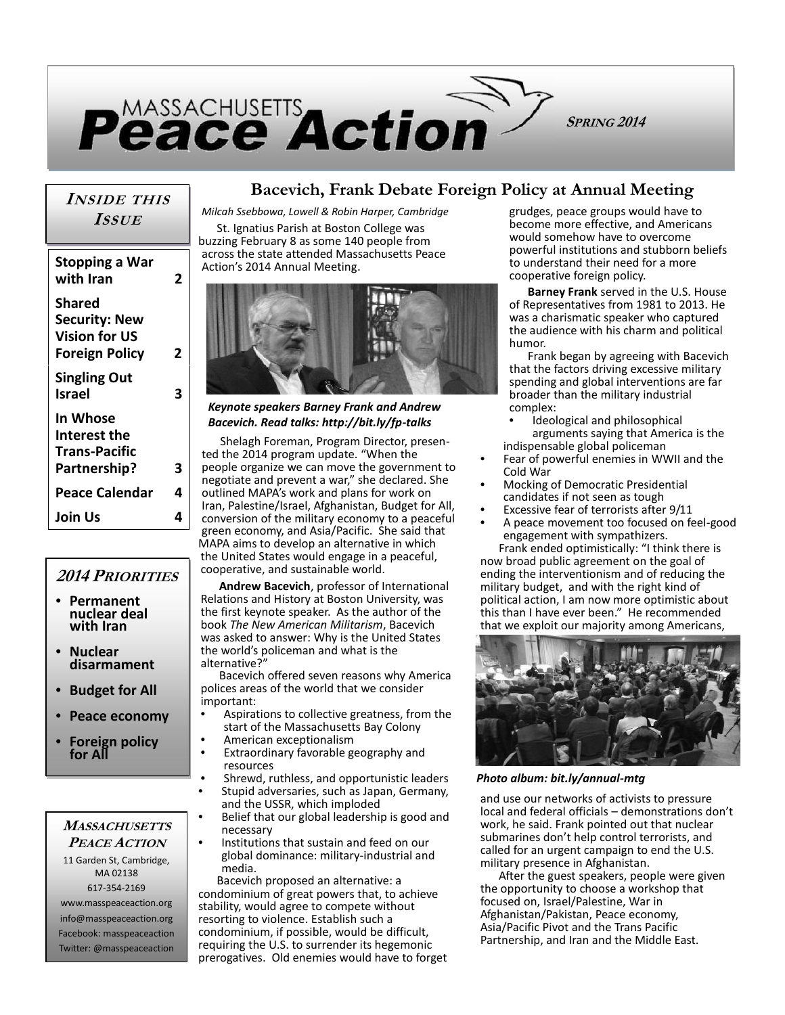

## *INSIDE THIS ISSUE*

| Stopping a War<br>with Iran                                                            | 2 | across f<br>Action's     |
|----------------------------------------------------------------------------------------|---|--------------------------|
| <b>Shared</b><br><b>Security: New</b><br><b>Vision for US</b><br><b>Foreign Policy</b> | 2 |                          |
| <b>Singling Out</b><br><b>Israel</b>                                                   | 3 |                          |
| In Whose<br>Interest the                                                               |   | Keyno<br>Bacev           |
| <b>Trans-Pacific</b>                                                                   | 3 | She<br>ted the<br>people |
| Partnership?<br><b>Peace Calendar</b>                                                  | 4 | negotia<br>outline       |
| Join Us                                                                                | 4 | Iran, Pa<br>convers      |

## *2014 PRIORITIES*

- **Permanent nuclear deal with Iran**
- **Nuclear disarmament**
- **Budget for All**
- **Peace economy**
- **Foreign policy for All**

*MASSACHUSETTS PEACE ACTION* 11 Garden St, Cambridge, MA 02138

617-354-2169 www.masspeaceaction.org info@masspeaceaction.org Facebook: masspeaceaction Twitter: @masspeaceaction

## **Bacevich, Frank Debate Foreign Policy at Annual Meeting**

*Milcah Ssebbowa, Lowell & Robin Harper, Cambridge*

St. Ignatius Parish at Boston College was buzzing February 8 as some 140 people from across the state attended Massachusetts Peace Action's 2014 Annual Meeting.



#### *Keynote speakers Barney Frank and Andrew Bacevich. Read talks: http://bit.ly/fp-talks*

Shelagh Foreman, Program Director, presen ted the 2014 program update. "When the **Partnership? 3** people organize we can move the government to negotiate and prevent a war," she declared. She **Peace Calendar**  $4 \mid$  outlined MAPA's work and plans for work on Iran, Palestine/Israel, Afghanistan, Budget for All, conversion of the military economy to a peaceful **Join Us 4** green economy, and Asia/Pacific. She said that MAPA aims to develop an alternative in which the United States would engage in a peaceful, cooperative, and sustainable world.

> **Andrew Bacevich**, professor of International Relations and History at Boston University, was the first keynote speaker. As the author of the book *The New American Militarism*, Bacevich was asked to answer: Why is the United States the world's policeman and what is the alternative?"

> Bacevich offered seven reasons why America polices areas of the world that we consider

important:

- Aspirations to collective greatness, from the start of the Massachusetts Bay Colony • American exceptionalism
- 
- Extraordinary favorable geography and resources
- Shrewd, ruthless, and opportunistic leaders
- Stupid adversaries, such as Japan, Germany, and the USSR, which imploded
- Belief that our global leadership is good and necessary
- Institutions that sustain and feed on our global dominance: military-industrial and media.

Bacevich proposed an alternative: a condominium of great powers that, to achieve stability, would agree to compete without resorting to violence. Establish such a condominium, if possible, would be difficult, requiring the U.S. to surrender its hegemonic prerogatives. Old enemies would have to forget

grudges, peace groups would have to become more effective, and Americans would somehow have to overcome powerful institutions and stubborn beliefs to understand their need for a more cooperative foreign policy.

**Barney Frank** served in the U.S. House of Representatives from 1981 to 2013. He was a charismatic speaker who captured the audience with his charm and political humor.

Frank began by agreeing with Bacevich that the factors driving excessive military spending and global interventions are far broader than the military industrial complex:

- Ideological and philosophical arguments saying that America is the
- indispensable global policeman • Fear of powerful enemies in WWII and the Cold War
- Mocking of Democratic Presidential candidates if not seen as tough
- Excessive fear of terrorists after 9/11
- A peace movement too focused on feel-good engagement with sympathizers.

Frank ended optimistically: "I think there is now broad public agreement on the goal of ending the interventionism and of reducing the military budget, and with the right kind of political action, I am now more optimistic about this than I have ever been." He recommended that we exploit our majority among Americans,



*Photo album: bit.ly/annual-mtg*

and use our networks of activists to pressure local and federal officials – demonstrations don't work, he said. Frank pointed out that nuclear submarines don't help control terrorists, and called for an urgent campaign to end the U.S. military presence in Afghanistan.

After the guest speakers, people were given the opportunity to choose a workshop that focused on, Israel/Palestine, War in Afghanistan/Pakistan, Peace economy, Asia/Pacific Pivot and the Trans Pacific Partnership, and Iran and the Middle East.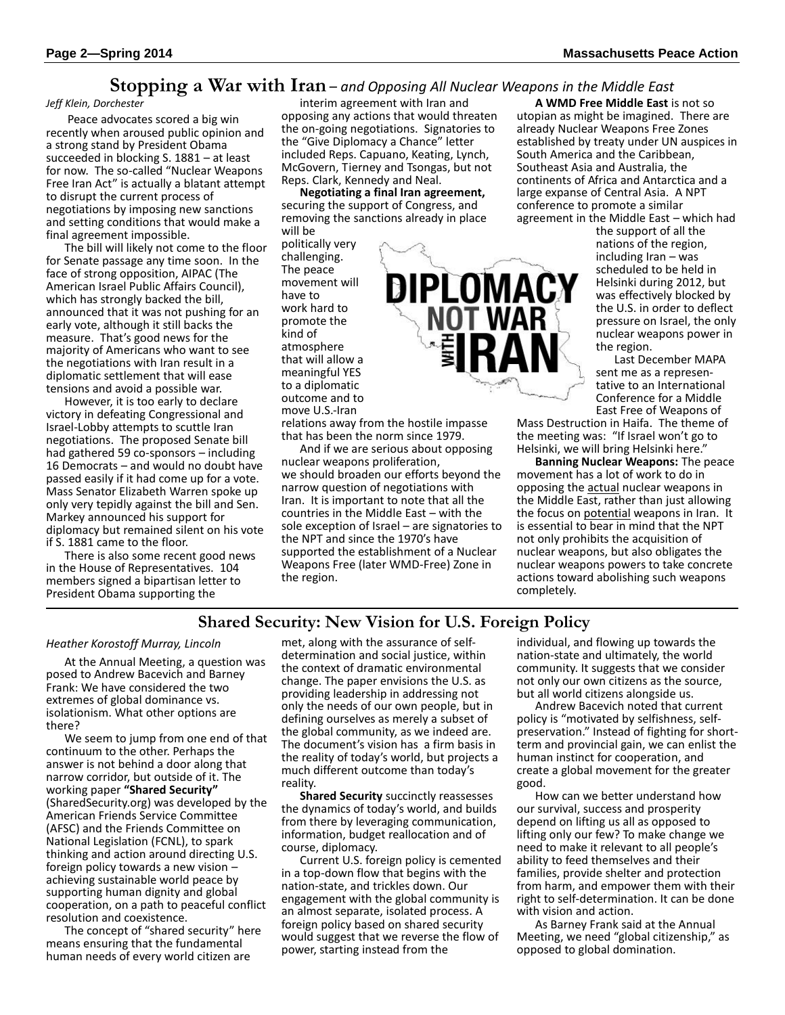### **Stopping a War with Iran** – *and Opposing All Nuclear Weapons in the Middle East*

#### *Jeff Klein, Dorchester*

 Peace advocates scored a big win recently when aroused public opinion and a strong stand by President Obama succeeded in blocking S. 1881 – at least for now. The so-called "Nuclear Weapons Free Iran Act" is actually a blatant attempt to disrupt the current process of negotiations by imposing new sanctions and setting conditions that would make a final agreement impossible.

The bill will likely not come to the floor for Senate passage any time soon. In the face of strong opposition, AIPAC (The American Israel Public Affairs Council), which has strongly backed the bill, announced that it was not pushing for an early vote, although it still backs the measure. That's good news for the majority of Americans who want to see the negotiations with Iran result in a diplomatic settlement that will ease tensions and avoid a possible war.

However, it is too early to declare victory in defeating Congressional and Israel-Lobby attempts to scuttle Iran negotiations. The proposed Senate bill had gathered 59 co-sponsors – including 16 Democrats – and would no doubt have passed easily if it had come up for a vote. Mass Senator Elizabeth Warren spoke up only very tepidly against the bill and Sen. Markey announced his support for diplomacy but remained silent on his vote if S. 1881 came to the floor.

There is also some recent good news in the House of Representatives. 104 members signed a bipartisan letter to President Obama supporting the

interim agreement with Iran and opposing any actions that would threaten the on-going negotiations. Signatories to the "Give Diplomacy a Chance" letter included Reps. Capuano, Keating, Lynch, McGovern, Tierney and Tsongas, but not Reps. Clark, Kennedy and Neal.

**Negotiating a final Iran agreement,** securing the support of Congress, and removing the sanctions already in place will be

politically very challenging. The peace movement will have to work hard to promote the kind of atmosphere that will allow a meaningful YES to a diplomatic outcome and to move U.S.-Iran

relations away from the hostile impasse that has been the norm since 1979.

And if we are serious about opposing nuclear weapons proliferation, we should broaden our efforts beyond the narrow question of negotiations with Iran. It is important to note that all the countries in the Middle East – with the sole exception of Israel – are signatories to the NPT and since the 1970's have supported the establishment of a Nuclear Weapons Free (later WMD-Free) Zone in the region.

**A WMD Free Middle East** is not so utopian as might be imagined. There are already Nuclear Weapons Free Zones established by treaty under UN auspices in South America and the Caribbean, Southeast Asia and Australia, the continents of Africa and Antarctica and a large expanse of Central Asia. A NPT conference to promote a similar agreement in the Middle East – which had

the support of all the nations of the region, including Iran – was scheduled to be held in Helsinki during 2012, but was effectively blocked by the U.S. in order to deflect pressure on Israel, the only nuclear weapons power in the region.

Last December MAPA sent me as a represen tative to an International Conference for a Middle East Free of Weapons of

Mass Destruction in Haifa. The theme of the meeting was: "If Israel won't go to Helsinki, we will bring Helsinki here."

**Banning Nuclear Weapons:** The peace movement has a lot of work to do in opposing the actual nuclear weapons in the Middle East, rather than just allowing the focus on potential weapons in Iran. It is essential to bear in mind that the NPT not only prohibits the acquisition of nuclear weapons, but also obligates the nuclear weapons powers to take concrete actions toward abolishing such weapons completely.

### **Shared Security: New Vision for U.S. Foreign Policy**

#### *Heather Korostoff Murray, Lincoln*

At the Annual Meeting, a question was posed to Andrew Bacevich and Barney Frank: We have considered the two extremes of global dominance vs. isolationism. What other options are there?

We seem to jump from one end of that continuum to the other. Perhaps the answer is not behind a door along that narrow corridor, but outside of it. The working paper **"Shared Security"** (SharedSecurity.org) was developed by the American Friends Service Committee (AFSC) and the Friends Committee on National Legislation (FCNL), to spark thinking and action around directing U.S. foreign policy towards a new vision – achieving sustainable world peace by supporting human dignity and global cooperation, on a path to peaceful conflict resolution and coexistence.

The concept of "shared security" here means ensuring that the fundamental human needs of every world citizen are

met, along with the assurance of self determination and social justice, within the context of dramatic environmental change. The paper envisions the U.S. as providing leadership in addressing not only the needs of our own people, but in defining ourselves as merely a subset of the global community, as we indeed are. The document's vision has a firm basis in the reality of today's world, but projects a much different outcome than today's reality.

**Shared Security** succinctly reassesses the dynamics of today's world, and builds from there by leveraging communication, information, budget reallocation and of course, diplomacy.

Current U.S. foreign policy is cemented in a top-down flow that begins with the nation-state, and trickles down. Our engagement with the global community is an almost separate, isolated process. A foreign policy based on shared security would suggest that we reverse the flow of power, starting instead from the

individual, and flowing up towards the nation-state and ultimately, the world community. It suggests that we consider not only our own citizens as the source, but all world citizens alongside us.

Andrew Bacevich noted that current policy is "motivated by selfishness, self preservation." Instead of fighting for short term and provincial gain, we can enlist the human instinct for cooperation, and create a global movement for the greater good.

How can we better understand how our survival, success and prosperity depend on lifting us all as opposed to lifting only our few? To make change we need to make it relevant to all people's ability to feed themselves and their families, provide shelter and protection from harm, and empower them with their right to self-determination. It can be done with vision and action.

As Barney Frank said at the Annual Meeting, we need "global citizenship," as opposed to global domination.

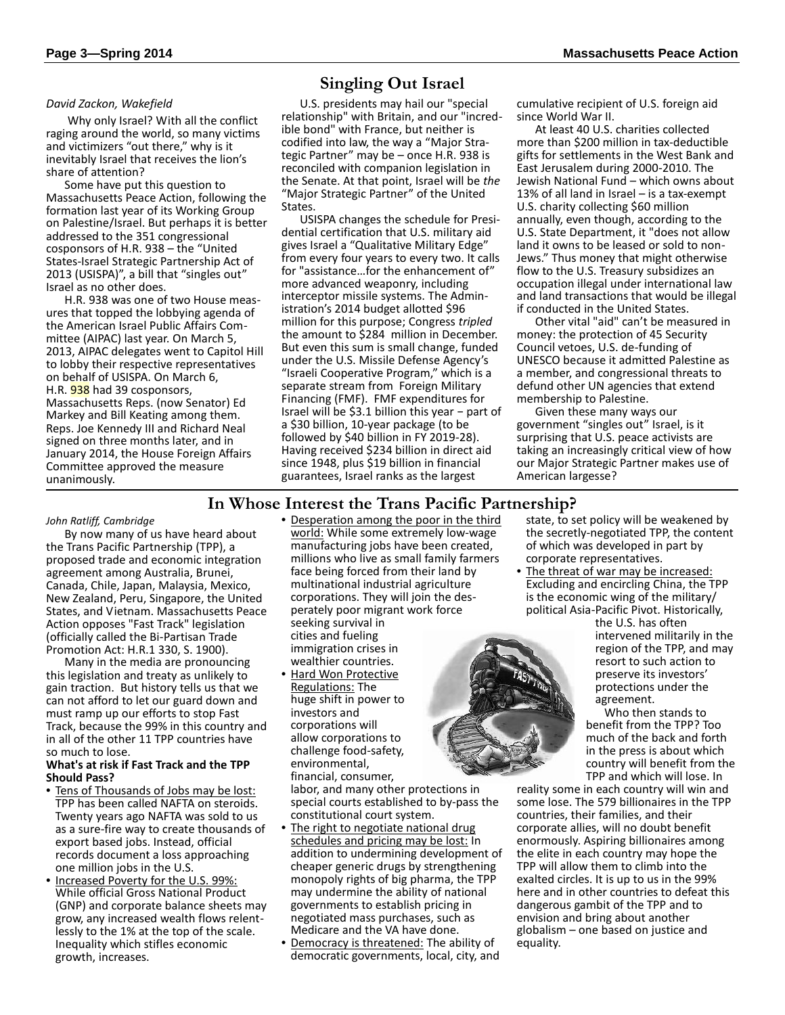#### *David Zackon, Wakefield*

 Why only Israel? With all the conflict raging around the world, so many victims and victimizers "out there," why is it inevitably Israel that receives the lion's share of attention?

Some have put this question to Massachusetts Peace Action, following the formation last year of its Working Group on Palestine/Israel. But perhaps it is better addressed to the 351 congressional cosponsors of H.R. 938 – the "United States-Israel Strategic Partnership Act of 2013 (USISPA)", a bill that "singles out" Israel as no other does.

H.R. 938 was one of two House meas ures that topped the lobbying agenda of the American Israel Public Affairs Com mittee (AIPAC) last year. On March 5, 2013, AIPAC delegates went to Capitol Hill to lobby their respective representatives on behalf of USISPA. On March 6, H.R. **938** had 39 cosponsors, Massachusetts Reps. (now Senator) Ed Markey and Bill Keating among them. Reps. Joe Kennedy III and Richard Neal signed on three months later, and in January 2014, the House Foreign Affairs Committee approved the measure unanimously.

## **Singling Out Israel**

U.S. presidents may hail our "special relationship" with Britain, and our "incredible bond" with France, but neither is codified into law, the way a "Major Stra tegic Partner" may be – once H.R. 938 is reconciled with companion legislation in the Senate. At that point, Israel will be *the* "Major Strategic Partner" of the United States.

USISPA changes the schedule for Presi dential certification that U.S. military aid gives Israel a "Qualitative Military Edge" from every four years to every two. It calls for "assistance…for the enhancement of" more advanced weaponry, including interceptor missile systems. The Administration's 2014 budget allotted \$96 million for this purpose; Congress *tripled* the amount to \$284 million in December. But even this sum is small change, funded under the U.S. Missile Defense Agency's "Israeli Cooperative Program," which is a separate stream from Foreign Military Financing (FMF). FMF expenditures for Israel will be \$3.1 billion this year − part of a \$30 billion, 10-year package (to be followed by \$40 billion in FY 2019-28). Having received \$234 billion in direct aid since 1948, plus \$19 billion in financial guarantees, Israel ranks as the largest

cumulative recipient of U.S. foreign aid since World War II.

At least 40 U.S. charities collected more than \$200 million in tax-deductible gifts for settlements in the West Bank and East Jerusalem during 2000-2010. The Jewish National Fund – which owns about 13% of all land in Israel – is a tax-exempt U.S. charity collecting \$60 million annually, even though, according to the U.S. State Department, it "does not allow land it owns to be leased or sold to non- Jews." Thus money that might otherwise flow to the U.S. Treasury subsidizes an occupation illegal under international law and land transactions that would be illegal if conducted in the United States.

Other vital "aid" can't be measured in money: the protection of 45 Security Council vetoes, U.S. de-funding of UNESCO because it admitted Palestine as a member, and congressional threats to defund other UN agencies that extend membership to Palestine.

Given these many ways our government "singles out" Israel, is it surprising that U.S. peace activists are taking an increasingly critical view of how our Major Strategic Partner makes use of American largesse?

### **In Whose Interest the Trans Pacific Partnership?**

#### *John Ratliff, Cambridge*

By now many of us have heard about the Trans Pacific Partnership (TPP), a proposed trade and economic integration agreement among Australia, Brunei, Canada, Chile, Japan, Malaysia, Mexico, New Zealand, Peru, Singapore, the United States, and Vietnam. Massachusetts Peace Action opposes "Fast Track" legislation (officially called the Bi-Partisan Trade Promotion Act: H.R.1 330, S. 1900).

Many in the media are pronouncing this legislation and treaty as unlikely to gain traction. But history tells us that we can not afford to let our guard down and must ramp up our efforts to stop Fast Track, because the 99% in this country and in all of the other 11 TPP countries have so much to lose.

#### **What's at risk if Fast Track and the TPP Should Pass?**

- Tens of Thousands of Jobs may be lost: TPP has been called NAFTA on steroids. Twenty years ago NAFTA was sold to us as a sure-fire way to create thousands of export based jobs. Instead, official records document a loss approaching one million jobs in the U.S.
- Increased Poverty for the U.S. 99%: While official Gross National Product (GNP) and corporate balance sheets may grow, any increased wealth flows relentlessly to the 1% at the top of the scale. Inequality which stifles economic growth, increases.

• Desperation among the poor in the third world: While some extremely low-wage manufacturing jobs have been created, millions who live as small family farmers face being forced from their land by multinational industrial agriculture corporations. They will join the des perately poor migrant work force seeking survival in

cities and fueling immigration crises in wealthier countries.

• Hard Won Protective Regulations: The huge shift in power to investors and corporations will allow corporations to challenge food-safety, environmental, financial, consumer,

labor, and many other protections in special courts established to by-pass the constitutional court system.

- The right to negotiate national drug schedules and pricing may be lost: In addition to undermining development of cheaper generic drugs by strengthening monopoly rights of big pharma, the TPP may undermine the ability of national governments to establish pricing in negotiated mass purchases, such as Medicare and the VA have done.
- Democracy is threatened: The ability of democratic governments, local, city, and

state, to set policy will be weakened by the secretly-negotiated TPP, the content of which was developed in part by corporate representatives.

• The threat of war may be increased: Excluding and encircling China, the TPP is the economic wing of the military/ political Asia-Pacific Pivot. Historically,

the U.S. has often intervened militarily in the region of the TPP, and may resort to such action to preserve its investors' protections under the agreement.

Who then stands to benefit from the TPP? Too much of the back and forth in the press is about which country will benefit from the TPP and which will lose. In

reality some in each country will win and some lose. The 579 billionaires in the TPP countries, their families, and their corporate allies, will no doubt benefit enormously. Aspiring billionaires among the elite in each country may hope the TPP will allow them to climb into the exalted circles. It is up to us in the 99% here and in other countries to defeat this dangerous gambit of the TPP and to envision and bring about another globalism – one based on justice and equality.